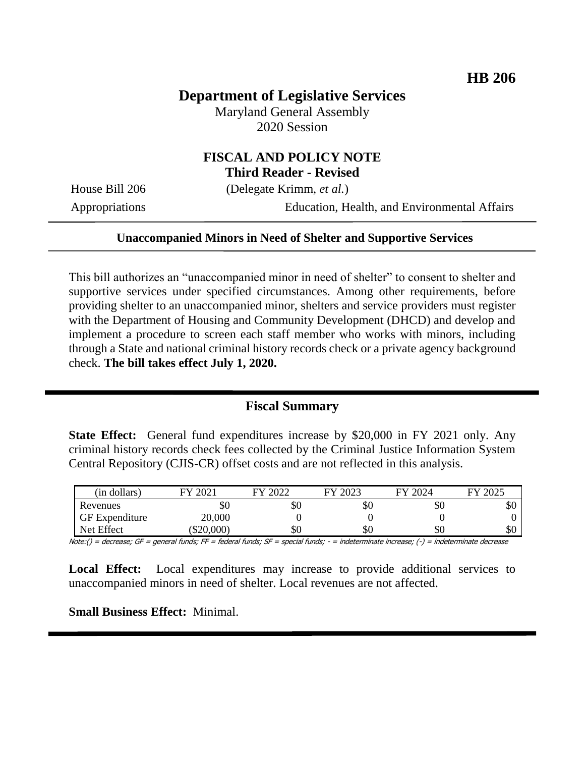# **Department of Legislative Services**

Maryland General Assembly 2020 Session

## **FISCAL AND POLICY NOTE Third Reader - Revised**

House Bill 206 (Delegate Krimm, *et al.*)

Appropriations Education, Health, and Environmental Affairs

#### **Unaccompanied Minors in Need of Shelter and Supportive Services**

This bill authorizes an "unaccompanied minor in need of shelter" to consent to shelter and supportive services under specified circumstances. Among other requirements, before providing shelter to an unaccompanied minor, shelters and service providers must register with the Department of Housing and Community Development (DHCD) and develop and implement a procedure to screen each staff member who works with minors, including through a State and national criminal history records check or a private agency background check. **The bill takes effect July 1, 2020.**

## **Fiscal Summary**

**State Effect:** General fund expenditures increase by \$20,000 in FY 2021 only. Any criminal history records check fees collected by the Criminal Justice Information System Central Repository (CJIS-CR) offset costs and are not reflected in this analysis.

| (in dollars)          | $202^{\circ}$ | 2022<br>FV | FY 2023 | FY 2024 | 2025<br>FУ |
|-----------------------|---------------|------------|---------|---------|------------|
| Revenues              | υU            | \$0        | \$0     | эU      | \$0        |
| <b>GF</b> Expenditure | 20,000        |            |         |         |            |
| Net Effect            | \$20,000      | \$0        | \$0     | ъU      | \$0        |

Note:() = decrease; GF = general funds; FF = federal funds; SF = special funds; - = indeterminate increase; (-) = indeterminate decrease

Local Effect: Local expenditures may increase to provide additional services to unaccompanied minors in need of shelter. Local revenues are not affected.

#### **Small Business Effect:** Minimal.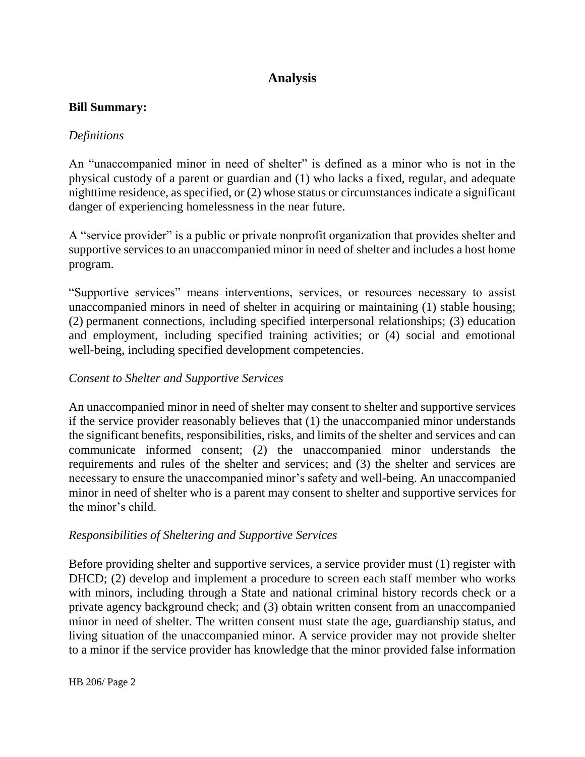# **Analysis**

#### **Bill Summary:**

#### *Definitions*

An "unaccompanied minor in need of shelter" is defined as a minor who is not in the physical custody of a parent or guardian and (1) who lacks a fixed, regular, and adequate nighttime residence, as specified, or (2) whose status or circumstances indicate a significant danger of experiencing homelessness in the near future.

A "service provider" is a public or private nonprofit organization that provides shelter and supportive services to an unaccompanied minor in need of shelter and includes a host home program.

"Supportive services" means interventions, services, or resources necessary to assist unaccompanied minors in need of shelter in acquiring or maintaining (1) stable housing; (2) permanent connections, including specified interpersonal relationships; (3) education and employment, including specified training activities; or (4) social and emotional well-being, including specified development competencies.

#### *Consent to Shelter and Supportive Services*

An unaccompanied minor in need of shelter may consent to shelter and supportive services if the service provider reasonably believes that (1) the unaccompanied minor understands the significant benefits, responsibilities, risks, and limits of the shelter and services and can communicate informed consent; (2) the unaccompanied minor understands the requirements and rules of the shelter and services; and (3) the shelter and services are necessary to ensure the unaccompanied minor's safety and well-being. An unaccompanied minor in need of shelter who is a parent may consent to shelter and supportive services for the minor's child.

#### *Responsibilities of Sheltering and Supportive Services*

Before providing shelter and supportive services, a service provider must (1) register with DHCD; (2) develop and implement a procedure to screen each staff member who works with minors, including through a State and national criminal history records check or a private agency background check; and (3) obtain written consent from an unaccompanied minor in need of shelter. The written consent must state the age, guardianship status, and living situation of the unaccompanied minor. A service provider may not provide shelter to a minor if the service provider has knowledge that the minor provided false information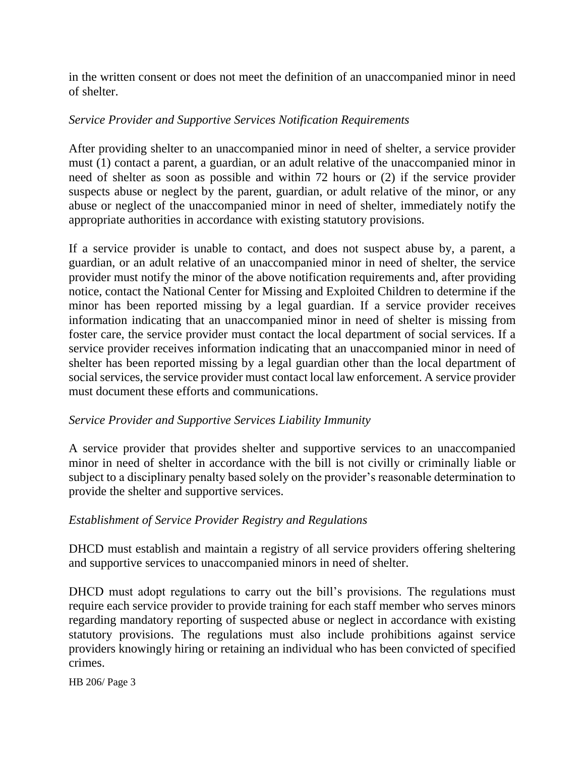in the written consent or does not meet the definition of an unaccompanied minor in need of shelter.

## *Service Provider and Supportive Services Notification Requirements*

After providing shelter to an unaccompanied minor in need of shelter, a service provider must (1) contact a parent, a guardian, or an adult relative of the unaccompanied minor in need of shelter as soon as possible and within 72 hours or (2) if the service provider suspects abuse or neglect by the parent, guardian, or adult relative of the minor, or any abuse or neglect of the unaccompanied minor in need of shelter, immediately notify the appropriate authorities in accordance with existing statutory provisions.

If a service provider is unable to contact, and does not suspect abuse by, a parent, a guardian, or an adult relative of an unaccompanied minor in need of shelter, the service provider must notify the minor of the above notification requirements and, after providing notice, contact the National Center for Missing and Exploited Children to determine if the minor has been reported missing by a legal guardian. If a service provider receives information indicating that an unaccompanied minor in need of shelter is missing from foster care, the service provider must contact the local department of social services. If a service provider receives information indicating that an unaccompanied minor in need of shelter has been reported missing by a legal guardian other than the local department of social services, the service provider must contact local law enforcement. A service provider must document these efforts and communications.

## *Service Provider and Supportive Services Liability Immunity*

A service provider that provides shelter and supportive services to an unaccompanied minor in need of shelter in accordance with the bill is not civilly or criminally liable or subject to a disciplinary penalty based solely on the provider's reasonable determination to provide the shelter and supportive services.

## *Establishment of Service Provider Registry and Regulations*

DHCD must establish and maintain a registry of all service providers offering sheltering and supportive services to unaccompanied minors in need of shelter.

DHCD must adopt regulations to carry out the bill's provisions. The regulations must require each service provider to provide training for each staff member who serves minors regarding mandatory reporting of suspected abuse or neglect in accordance with existing statutory provisions. The regulations must also include prohibitions against service providers knowingly hiring or retaining an individual who has been convicted of specified crimes.

HB 206/ Page 3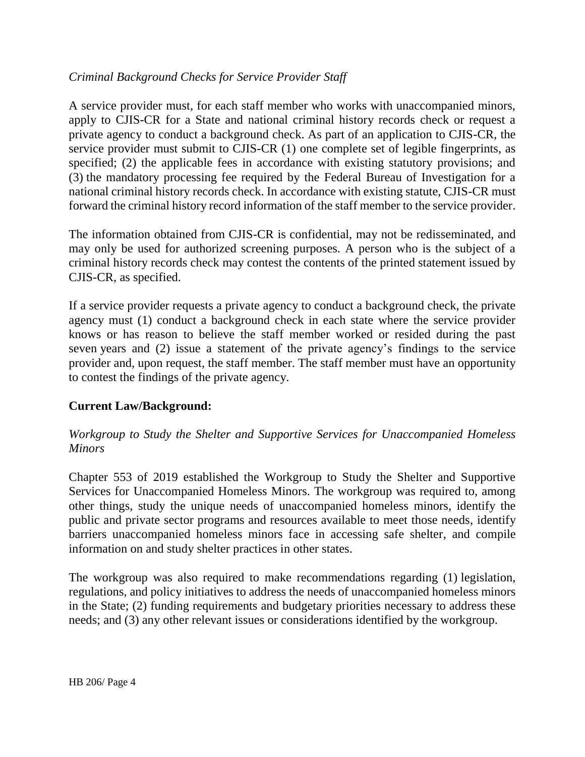## *Criminal Background Checks for Service Provider Staff*

A service provider must, for each staff member who works with unaccompanied minors, apply to CJIS-CR for a State and national criminal history records check or request a private agency to conduct a background check. As part of an application to CJIS-CR, the service provider must submit to CJIS-CR (1) one complete set of legible fingerprints, as specified; (2) the applicable fees in accordance with existing statutory provisions; and (3) the mandatory processing fee required by the Federal Bureau of Investigation for a national criminal history records check. In accordance with existing statute, CJIS-CR must forward the criminal history record information of the staff member to the service provider.

The information obtained from CJIS-CR is confidential, may not be redisseminated, and may only be used for authorized screening purposes. A person who is the subject of a criminal history records check may contest the contents of the printed statement issued by CJIS-CR, as specified.

If a service provider requests a private agency to conduct a background check, the private agency must (1) conduct a background check in each state where the service provider knows or has reason to believe the staff member worked or resided during the past seven years and (2) issue a statement of the private agency's findings to the service provider and, upon request, the staff member. The staff member must have an opportunity to contest the findings of the private agency.

# **Current Law/Background:**

## *Workgroup to Study the Shelter and Supportive Services for Unaccompanied Homeless Minors*

Chapter 553 of 2019 established the Workgroup to Study the Shelter and Supportive Services for Unaccompanied Homeless Minors. The workgroup was required to, among other things, study the unique needs of unaccompanied homeless minors, identify the public and private sector programs and resources available to meet those needs, identify barriers unaccompanied homeless minors face in accessing safe shelter, and compile information on and study shelter practices in other states.

The workgroup was also required to make recommendations regarding (1) legislation, regulations, and policy initiatives to address the needs of unaccompanied homeless minors in the State; (2) funding requirements and budgetary priorities necessary to address these needs; and (3) any other relevant issues or considerations identified by the workgroup.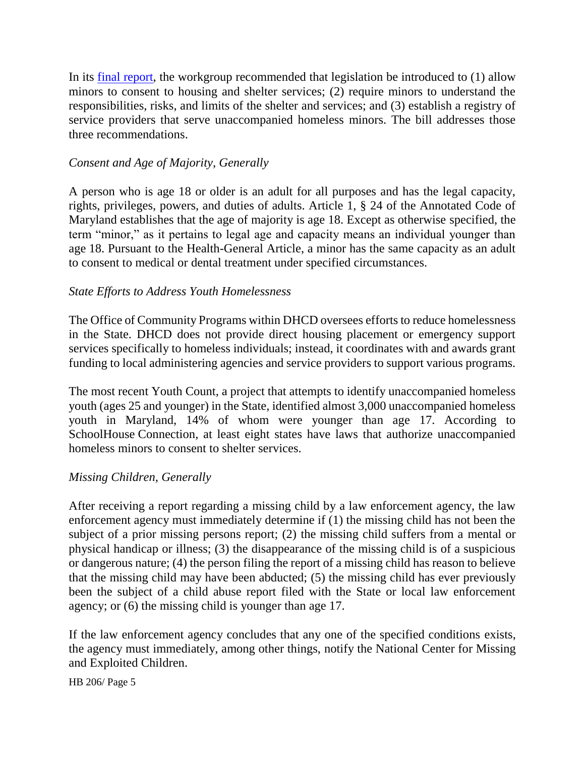In its [final report,](http://dlslibrary.state.md.us/publications/Joint/Taskforce/HB911Ch553_2019.pdf) the workgroup recommended that legislation be introduced to (1) allow minors to consent to housing and shelter services; (2) require minors to understand the responsibilities, risks, and limits of the shelter and services; and (3) establish a registry of service providers that serve unaccompanied homeless minors. The bill addresses those three recommendations.

## *Consent and Age of Majority, Generally*

A person who is age 18 or older is an adult for all purposes and has the legal capacity, rights, privileges, powers, and duties of adults. Article 1, § 24 of the Annotated Code of Maryland establishes that the age of majority is age 18. Except as otherwise specified, the term "minor," as it pertains to legal age and capacity means an individual younger than age 18. Pursuant to the Health-General Article, a minor has the same capacity as an adult to consent to medical or dental treatment under specified circumstances.

#### *State Efforts to Address Youth Homelessness*

The Office of Community Programs within DHCD oversees efforts to reduce homelessness in the State. DHCD does not provide direct housing placement or emergency support services specifically to homeless individuals; instead, it coordinates with and awards grant funding to local administering agencies and service providers to support various programs.

The most recent Youth Count, a project that attempts to identify unaccompanied homeless youth (ages 25 and younger) in the State, identified almost 3,000 unaccompanied homeless youth in Maryland, 14% of whom were younger than age 17. According to SchoolHouse Connection, at least eight states have laws that authorize unaccompanied homeless minors to consent to shelter services.

## *Missing Children, Generally*

After receiving a report regarding a missing child by a law enforcement agency, the law enforcement agency must immediately determine if (1) the missing child has not been the subject of a prior missing persons report; (2) the missing child suffers from a mental or physical handicap or illness; (3) the disappearance of the missing child is of a suspicious or dangerous nature; (4) the person filing the report of a missing child has reason to believe that the missing child may have been abducted; (5) the missing child has ever previously been the subject of a child abuse report filed with the State or local law enforcement agency; or (6) the missing child is younger than age 17.

If the law enforcement agency concludes that any one of the specified conditions exists, the agency must immediately, among other things, notify the National Center for Missing and Exploited Children.

#### HB 206/ Page 5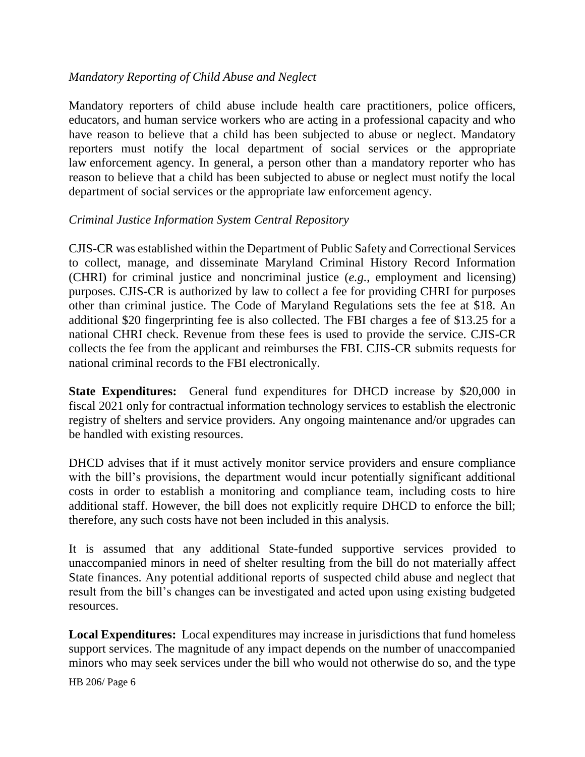## *Mandatory Reporting of Child Abuse and Neglect*

Mandatory reporters of child abuse include health care practitioners, police officers, educators, and human service workers who are acting in a professional capacity and who have reason to believe that a child has been subjected to abuse or neglect. Mandatory reporters must notify the local department of social services or the appropriate law enforcement agency. In general, a person other than a mandatory reporter who has reason to believe that a child has been subjected to abuse or neglect must notify the local department of social services or the appropriate law enforcement agency.

#### *Criminal Justice Information System Central Repository*

CJIS-CR was established within the Department of Public Safety and Correctional Services to collect, manage, and disseminate Maryland Criminal History Record Information (CHRI) for criminal justice and noncriminal justice (*e.g.*, employment and licensing) purposes. CJIS-CR is authorized by law to collect a fee for providing CHRI for purposes other than criminal justice. The Code of Maryland Regulations sets the fee at \$18. An additional \$20 fingerprinting fee is also collected. The FBI charges a fee of \$13.25 for a national CHRI check. Revenue from these fees is used to provide the service. CJIS-CR collects the fee from the applicant and reimburses the FBI. CJIS-CR submits requests for national criminal records to the FBI electronically.

**State Expenditures:** General fund expenditures for DHCD increase by \$20,000 in fiscal 2021 only for contractual information technology services to establish the electronic registry of shelters and service providers. Any ongoing maintenance and/or upgrades can be handled with existing resources.

DHCD advises that if it must actively monitor service providers and ensure compliance with the bill's provisions, the department would incur potentially significant additional costs in order to establish a monitoring and compliance team, including costs to hire additional staff. However, the bill does not explicitly require DHCD to enforce the bill; therefore, any such costs have not been included in this analysis.

It is assumed that any additional State-funded supportive services provided to unaccompanied minors in need of shelter resulting from the bill do not materially affect State finances. Any potential additional reports of suspected child abuse and neglect that result from the bill's changes can be investigated and acted upon using existing budgeted resources.

**Local Expenditures:** Local expenditures may increase in jurisdictions that fund homeless support services. The magnitude of any impact depends on the number of unaccompanied minors who may seek services under the bill who would not otherwise do so, and the type

HB 206/ Page 6